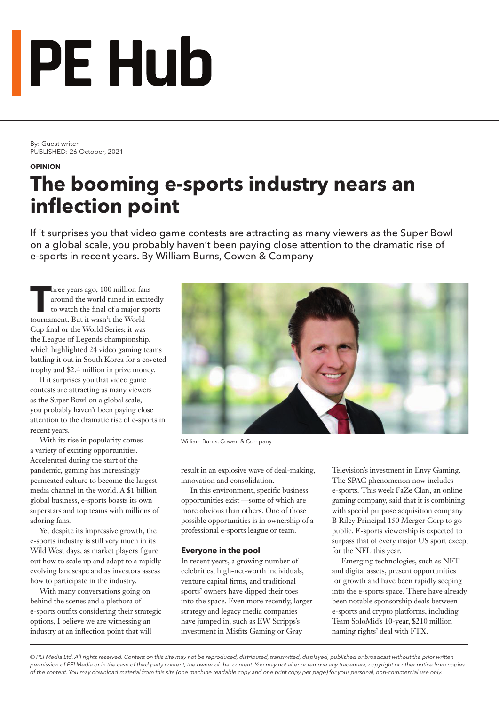# **PE Hub**

By: Guest writer PUBLISHED: 26 October, 2021

#### **OPINION**

### **The booming e-sports industry nears an inflection point**

If it surprises you that video game contests are attracting as many viewers as the Super Bowl on a global scale, you probably haven't been paying close attention to the dramatic rise of e-sports in recent years. By William Burns, Cowen & Company

Three years ago, 100 million fans<br>around the world tuned in excite<br>to watch the final of a major spo around the world tuned in excitedly to watch the final of a major sports tournament. But it wasn't the World Cup final or the World Series; it was the League of Legends championship, which highlighted 24 video gaming teams battling it out in South Korea for a coveted trophy and \$2.4 million in prize money.

If it surprises you that video game contests are attracting as many viewers as the Super Bowl on a global scale, you probably haven't been paying close attention to the dramatic rise of e-sports in recent years.

With its rise in popularity comes a variety of exciting opportunities. Accelerated during the start of the pandemic, gaming has increasingly permeated culture to become the largest media channel in the world. A \$1 billion global business, e-sports boasts its own superstars and top teams with millions of adoring fans.

Yet despite its impressive growth, the e-sports industry is still very much in its Wild West days, as market players figure out how to scale up and adapt to a rapidly evolving landscape and as investors assess how to participate in the industry.

With many conversations going on behind the scenes and a plethora of e-sports outfits considering their strategic options, I believe we are witnessing an industry at an inflection point that will



William Burns, Cowen & Company

result in an explosive wave of deal-making, innovation and consolidation.

In this environment, specific business opportunities exist —some of which are more obvious than others. One of those possible opportunities is in ownership of a professional e-sports league or team.

#### **Everyone in the pool**

In recent years, a growing number of celebrities, high-net-worth individuals, venture capital firms, and traditional sports' owners have dipped their toes into the space. Even more recently, larger strategy and legacy media companies have jumped in, such as EW Scripps's investment in Misfits Gaming or Gray

Television's investment in Envy Gaming. The SPAC phenomenon now includes e-sports. This week FaZe Clan, an online gaming company, said that it is combining with special purpose acquisition company B Riley Principal 150 Merger Corp to go public. E-sports viewership is expected to surpass that of every major US sport except for the NFL this year.

Emerging technologies, such as NFT and digital assets, present opportunities for growth and have been rapidly seeping into the e-sports space. There have already been notable sponsorship deals between e-sports and crypto platforms, including Team SoloMid's 10-year, \$210 million naming rights' deal with FTX.

*© PEI Media Ltd. All rights reserved. Content on this site may not be reproduced, distributed, transmitted, displayed, published or broadcast without the prior written permission of PEI Media or in the case of third party content, the owner of that content. You may not alter or remove any trademark, copyright or other notice from copies of the content. You may download material from this site (one machine readable copy and one print copy per page) for your personal, non-commercial use only.*